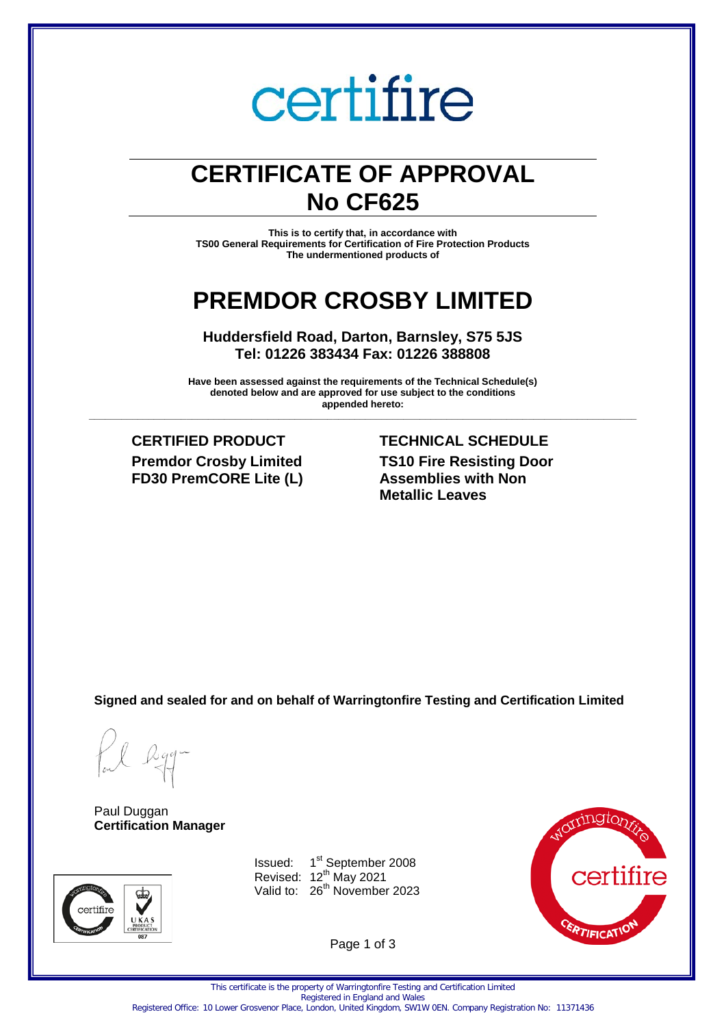# certifire

# **CERTIFICATE OF APPROVAL No CF625**

**This is to certify that, in accordance with TS00 General Requirements for Certification of Fire Protection Products The undermentioned products of** 

# **PREMDOR CROSBY LIMITED**

**Huddersfield Road, Darton, Barnsley, S75 5JS Tel: 01226 383434 Fax: 01226 388808** 

**Have been assessed against the requirements of the Technical Schedule(s) denoted below and are approved for use subject to the conditions appended hereto: \_\_\_\_\_\_\_\_\_\_\_\_\_\_\_\_\_\_\_\_\_\_\_\_\_\_\_\_\_\_\_\_\_\_\_\_\_\_\_\_\_\_\_\_\_\_\_\_\_\_\_\_\_\_\_\_\_\_\_\_\_\_\_\_\_\_\_\_\_\_\_\_\_\_\_\_\_\_\_\_\_\_\_\_\_\_\_\_\_\_\_\_\_\_\_\_\_\_\_\_\_**

**Premdor Crosby Limited FD30 PremCORE Lite (L)**

**CERTIFIED PRODUCT TECHNICAL SCHEDULE TS10 Fire Resisting Door Assemblies with Non Metallic Leaves**

**Signed and sealed for and on behalf of Warringtonfire Testing and Certification Limited**

Paul Duggan **Certification Manager**



Issued: 1<sup>st</sup> September 2008 Revised:  $12^{th}$  May 2021 Valid to: 26<sup>th</sup> November 2023



Page 1 of 3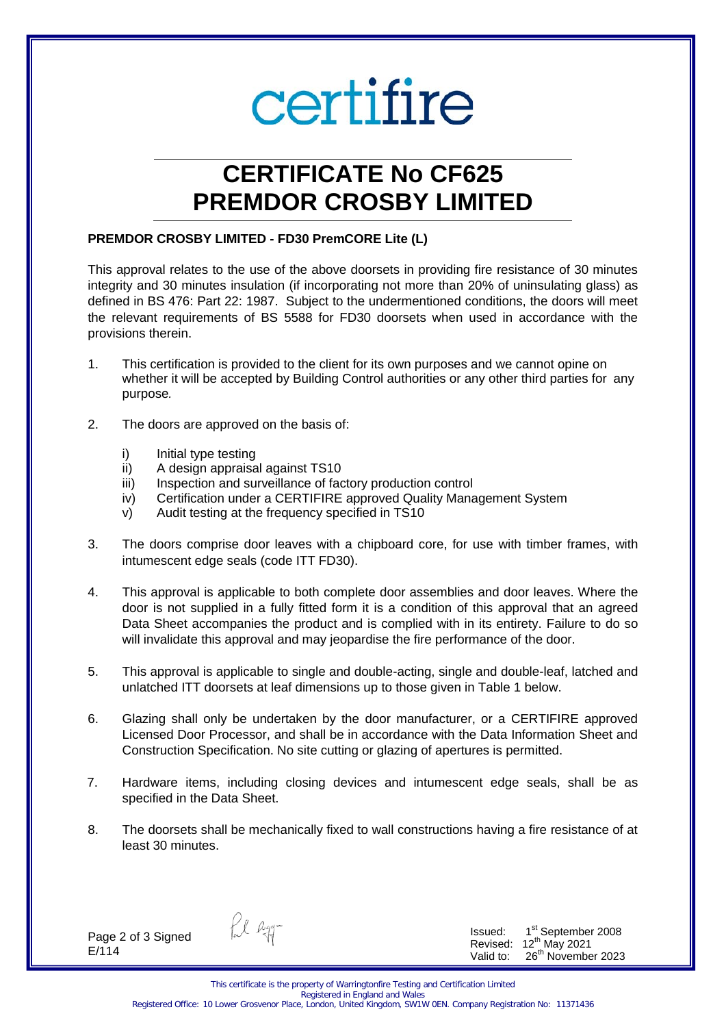# certifire

# **CERTIFICATE No CF625 PREMDOR CROSBY LIMITED**

#### **PREMDOR CROSBY LIMITED - FD30 PremCORE Lite (L)**

This approval relates to the use of the above doorsets in providing fire resistance of 30 minutes integrity and 30 minutes insulation (if incorporating not more than 20% of uninsulating glass) as defined in BS 476: Part 22: 1987. Subject to the undermentioned conditions, the doors will meet the relevant requirements of BS 5588 for FD30 doorsets when used in accordance with the provisions therein.

- 1. This certification is provided to the client for its own purposes and we cannot opine on whether it will be accepted by Building Control authorities or any other third parties for any purpose*.*
- 2. The doors are approved on the basis of:
	- i) Initial type testing
	- ii) A design appraisal against TS10
	- iii) Inspection and surveillance of factory production control
	- iv) Certification under a CERTIFIRE approved Quality Management System
	- v) Audit testing at the frequency specified in TS10
- 3. The doors comprise door leaves with a chipboard core, for use with timber frames, with intumescent edge seals (code ITT FD30).
- 4. This approval is applicable to both complete door assemblies and door leaves. Where the door is not supplied in a fully fitted form it is a condition of this approval that an agreed Data Sheet accompanies the product and is complied with in its entirety. Failure to do so will invalidate this approval and may jeopardise the fire performance of the door.
- 5. This approval is applicable to single and double-acting, single and double-leaf, latched and unlatched ITT doorsets at leaf dimensions up to those given in Table 1 below.
- 6. Glazing shall only be undertaken by the door manufacturer, or a CERTIFIRE approved Licensed Door Processor, and shall be in accordance with the Data Information Sheet and Construction Specification. No site cutting or glazing of apertures is permitted.
- 7. Hardware items, including closing devices and intumescent edge seals, shall be as specified in the Data Sheet.
- 8. The doorsets shall be mechanically fixed to wall constructions having a fire resistance of at least 30 minutes.

Page 2 of 3 Signed E/114

fil Ryg-

Issued: 1 st September 2008 Revised:  $12^{th}$  May 2021 Valid to:  $26<sup>th</sup>$  November 2023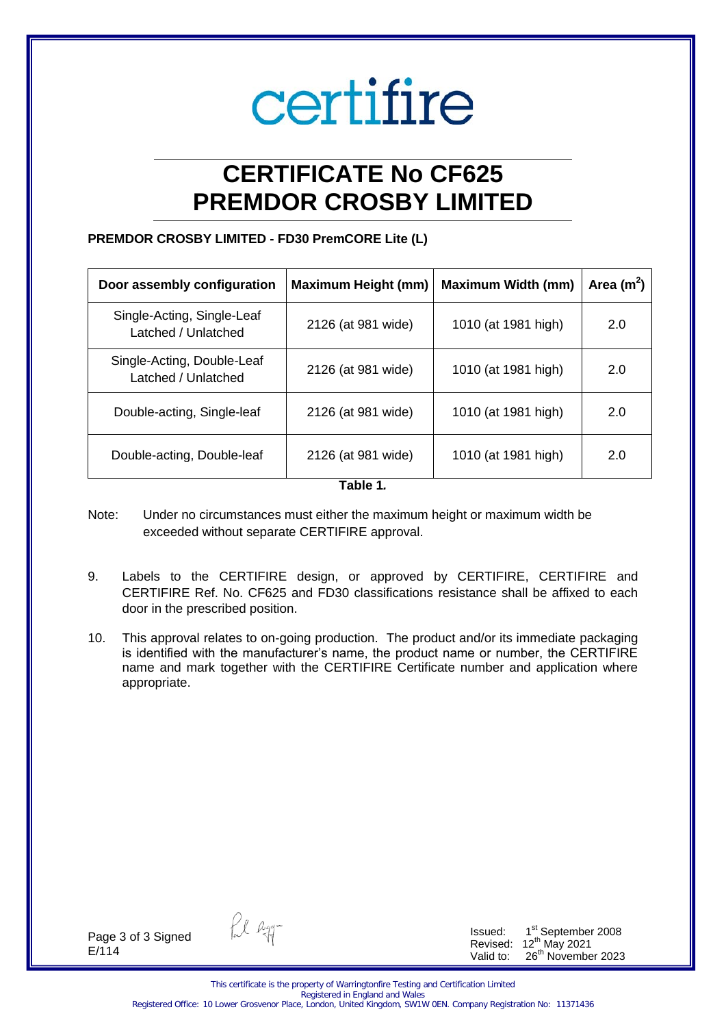# certifire

# **CERTIFICATE No CF625 PREMDOR CROSBY LIMITED**

## **PREMDOR CROSBY LIMITED - FD30 PremCORE Lite (L)**

| Door assembly configuration                       | <b>Maximum Height (mm)</b> | <b>Maximum Width (mm)</b> | Area $(m^2)$ |
|---------------------------------------------------|----------------------------|---------------------------|--------------|
| Single-Acting, Single-Leaf<br>Latched / Unlatched | 2126 (at 981 wide)         | 1010 (at 1981 high)       | 2.0          |
| Single-Acting, Double-Leaf<br>Latched / Unlatched | 2126 (at 981 wide)         | 1010 (at 1981 high)       | 2.0          |
| Double-acting, Single-leaf                        | 2126 (at 981 wide)         | 1010 (at 1981 high)       | 2.0          |
| Double-acting, Double-leaf                        | 2126 (at 981 wide)         | 1010 (at 1981 high)       | 2.0          |

**Table 1***.* 

- Note: Under no circumstances must either the maximum height or maximum width be exceeded without separate CERTIFIRE approval.
- 9. Labels to the CERTIFIRE design, or approved by CERTIFIRE, CERTIFIRE and CERTIFIRE Ref. No. CF625 and FD30 classifications resistance shall be affixed to each door in the prescribed position.
- 10. This approval relates to on-going production. The product and/or its immediate packaging is identified with the manufacturer's name, the product name or number, the CERTIFIRE name and mark together with the CERTIFIRE Certificate number and application where appropriate.

Page 3 of 3 Signed E/114

fil Ryg-

Issued: 1 st September 2008 Revised:  $12^{th}$  May 2021 Valid to: 26<sup>th</sup> November 2023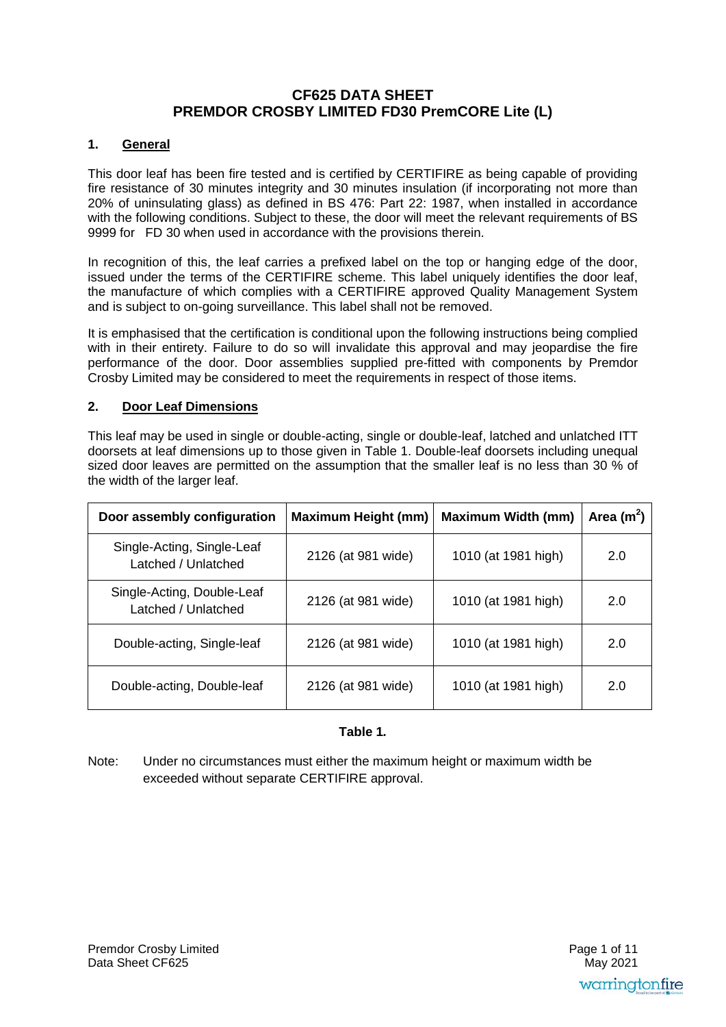# **CF625 DATA SHEET PREMDOR CROSBY LIMITED FD30 PremCORE Lite (L)**

#### **1. General**

This door leaf has been fire tested and is certified by CERTIFIRE as being capable of providing fire resistance of 30 minutes integrity and 30 minutes insulation (if incorporating not more than 20% of uninsulating glass) as defined in BS 476: Part 22: 1987, when installed in accordance with the following conditions. Subject to these, the door will meet the relevant requirements of BS 9999 for FD 30 when used in accordance with the provisions therein.

In recognition of this, the leaf carries a prefixed label on the top or hanging edge of the door, issued under the terms of the CERTIFIRE scheme. This label uniquely identifies the door leaf, the manufacture of which complies with a CERTIFIRE approved Quality Management System and is subject to on-going surveillance. This label shall not be removed.

It is emphasised that the certification is conditional upon the following instructions being complied with in their entirety. Failure to do so will invalidate this approval and may jeopardise the fire performance of the door. Door assemblies supplied pre-fitted with components by Premdor Crosby Limited may be considered to meet the requirements in respect of those items.

#### **2. Door Leaf Dimensions**

This leaf may be used in single or double-acting, single or double-leaf, latched and unlatched ITT doorsets at leaf dimensions up to those given in Table 1. Double-leaf doorsets including unequal sized door leaves are permitted on the assumption that the smaller leaf is no less than 30 % of the width of the larger leaf.

| Door assembly configuration                       | <b>Maximum Height (mm)</b> | <b>Maximum Width (mm)</b> | Area $(m^2)$ |
|---------------------------------------------------|----------------------------|---------------------------|--------------|
| Single-Acting, Single-Leaf<br>Latched / Unlatched | 2126 (at 981 wide)         | 1010 (at 1981 high)       | 2.0          |
| Single-Acting, Double-Leaf<br>Latched / Unlatched | 2126 (at 981 wide)         | 1010 (at 1981 high)       | 2.0          |
| Double-acting, Single-leaf                        | 2126 (at 981 wide)         | 1010 (at 1981 high)       | 2.0          |
| Double-acting, Double-leaf                        | 2126 (at 981 wide)         | 1010 (at 1981 high)       | 2.0          |

#### **Table 1***.*

Note: Under no circumstances must either the maximum height or maximum width be exceeded without separate CERTIFIRE approval.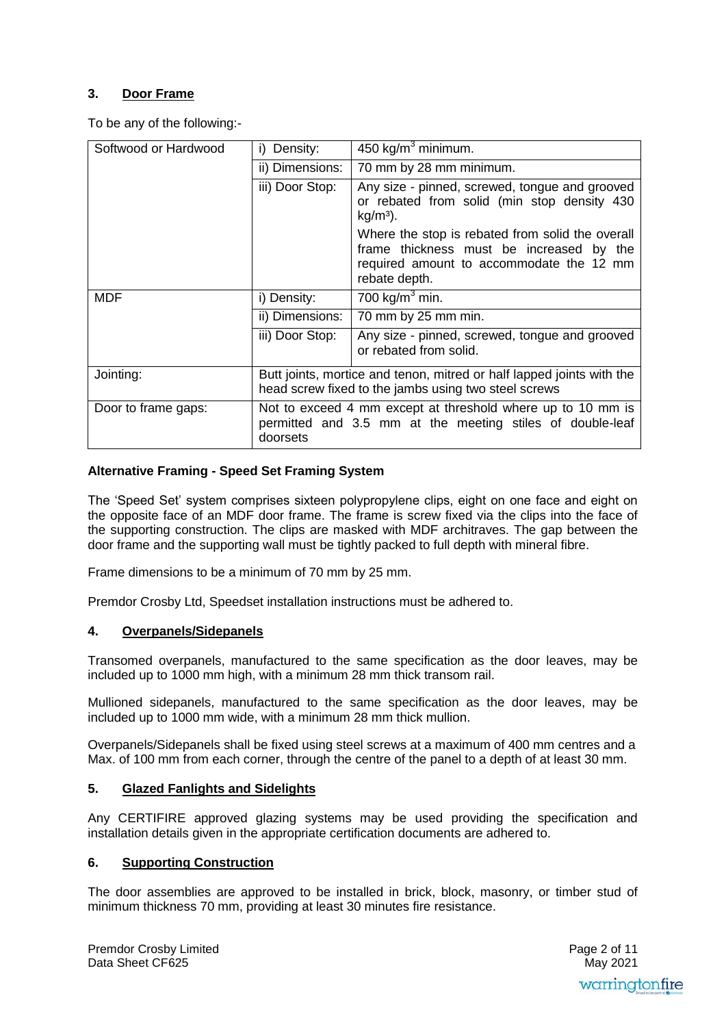# **3. Door Frame**

To be any of the following:-

| Softwood or Hardwood | i) Density:                                                                                                                          | 450 kg/m <sup>3</sup> minimum.                                                                                                                            |
|----------------------|--------------------------------------------------------------------------------------------------------------------------------------|-----------------------------------------------------------------------------------------------------------------------------------------------------------|
|                      | ii) Dimensions:                                                                                                                      | 70 mm by 28 mm minimum.                                                                                                                                   |
|                      | iii) Door Stop:                                                                                                                      | Any size - pinned, screwed, tongue and grooved<br>or rebated from solid (min stop density 430<br>$kg/m3$ ).                                               |
|                      |                                                                                                                                      | Where the stop is rebated from solid the overall<br>frame thickness must be increased by the<br>required amount to accommodate the 12 mm<br>rebate depth. |
| <b>MDF</b>           | i) Density:                                                                                                                          | 700 kg/m <sup>3</sup> min.                                                                                                                                |
|                      | ii) Dimensions:                                                                                                                      | 70 mm by 25 mm min.                                                                                                                                       |
|                      | iii) Door Stop:                                                                                                                      | Any size - pinned, screwed, tongue and grooved<br>or rebated from solid.                                                                                  |
| Jointing:            | Butt joints, mortice and tenon, mitred or half lapped joints with the<br>head screw fixed to the jambs using two steel screws        |                                                                                                                                                           |
| Door to frame gaps:  | Not to exceed 4 mm except at threshold where up to 10 mm is<br>permitted and 3.5 mm at the meeting stiles of double-leaf<br>doorsets |                                                                                                                                                           |

#### **Alternative Framing - Speed Set Framing System**

The 'Speed Set' system comprises sixteen polypropylene clips, eight on one face and eight on the opposite face of an MDF door frame. The frame is screw fixed via the clips into the face of the supporting construction. The clips are masked with MDF architraves. The gap between the door frame and the supporting wall must be tightly packed to full depth with mineral fibre.

Frame dimensions to be a minimum of 70 mm by 25 mm.

Premdor Crosby Ltd, Speedset installation instructions must be adhered to.

#### **4. Overpanels/Sidepanels**

Transomed overpanels, manufactured to the same specification as the door leaves, may be included up to 1000 mm high, with a minimum 28 mm thick transom rail.

Mullioned sidepanels, manufactured to the same specification as the door leaves, may be included up to 1000 mm wide, with a minimum 28 mm thick mullion.

Overpanels/Sidepanels shall be fixed using steel screws at a maximum of 400 mm centres and a Max. of 100 mm from each corner, through the centre of the panel to a depth of at least 30 mm.

#### **5. Glazed Fanlights and Sidelights**

Any CERTIFIRE approved glazing systems may be used providing the specification and installation details given in the appropriate certification documents are adhered to.

#### **6. Supporting Construction**

The door assemblies are approved to be installed in brick, block, masonry, or timber stud of minimum thickness 70 mm, providing at least 30 minutes fire resistance.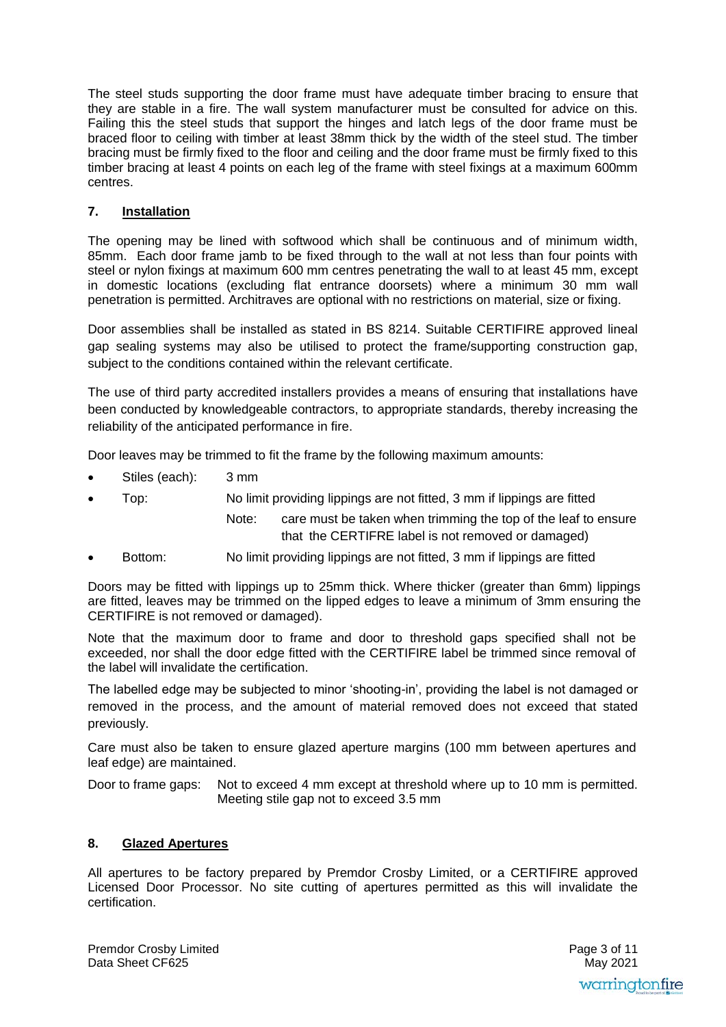The steel studs supporting the door frame must have adequate timber bracing to ensure that they are stable in a fire. The wall system manufacturer must be consulted for advice on this. Failing this the steel studs that support the hinges and latch legs of the door frame must be braced floor to ceiling with timber at least 38mm thick by the width of the steel stud. The timber bracing must be firmly fixed to the floor and ceiling and the door frame must be firmly fixed to this timber bracing at least 4 points on each leg of the frame with steel fixings at a maximum 600mm centres.

## **7. Installation**

The opening may be lined with softwood which shall be continuous and of minimum width, 85mm. Each door frame jamb to be fixed through to the wall at not less than four points with steel or nylon fixings at maximum 600 mm centres penetrating the wall to at least 45 mm, except in domestic locations (excluding flat entrance doorsets) where a minimum 30 mm wall penetration is permitted. Architraves are optional with no restrictions on material, size or fixing.

Door assemblies shall be installed as stated in BS 8214. Suitable CERTIFIRE approved lineal gap sealing systems may also be utilised to protect the frame/supporting construction gap, subject to the conditions contained within the relevant certificate.

The use of third party accredited installers provides a means of ensuring that installations have been conducted by knowledgeable contractors, to appropriate standards, thereby increasing the reliability of the anticipated performance in fire.

Door leaves may be trimmed to fit the frame by the following maximum amounts:

- Stiles (each): 3 mm
- Top: No limit providing lippings are not fitted, 3 mm if lippings are fitted
	- Note: care must be taken when trimming the top of the leaf to ensure that the CERTIFRE label is not removed or damaged)
- Bottom: No limit providing lippings are not fitted, 3 mm if lippings are fitted

Doors may be fitted with lippings up to 25mm thick. Where thicker (greater than 6mm) lippings are fitted, leaves may be trimmed on the lipped edges to leave a minimum of 3mm ensuring the CERTIFIRE is not removed or damaged).

Note that the maximum door to frame and door to threshold gaps specified shall not be exceeded, nor shall the door edge fitted with the CERTIFIRE label be trimmed since removal of the label will invalidate the certification.

The labelled edge may be subjected to minor 'shooting-in', providing the label is not damaged or removed in the process, and the amount of material removed does not exceed that stated previously.

Care must also be taken to ensure glazed aperture margins (100 mm between apertures and leaf edge) are maintained.

Door to frame gaps: Not to exceed 4 mm except at threshold where up to 10 mm is permitted. Meeting stile gap not to exceed 3.5 mm

#### **8. Glazed Apertures**

All apertures to be factory prepared by Premdor Crosby Limited, or a CERTIFIRE approved Licensed Door Processor. No site cutting of apertures permitted as this will invalidate the certification.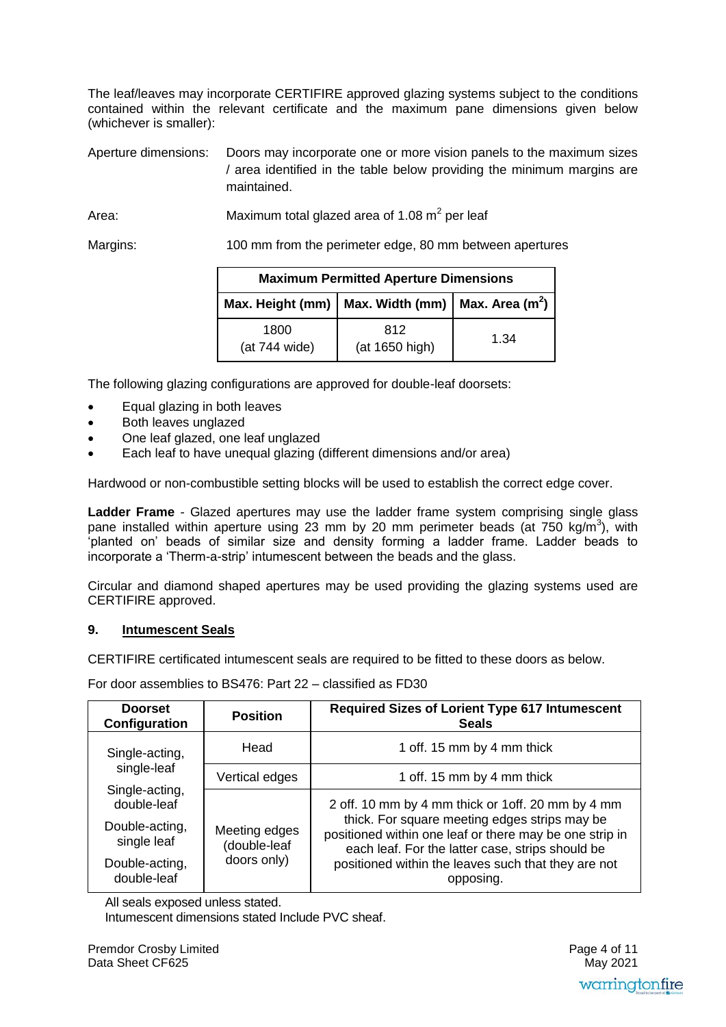The leaf/leaves may incorporate CERTIFIRE approved glazing systems subject to the conditions contained within the relevant certificate and the maximum pane dimensions given below (whichever is smaller):

Aperture dimensions: Doors may incorporate one or more vision panels to the maximum sizes / area identified in the table below providing the minimum margins are maintained.

Area: Maximum total glazed area of 1.08  $\text{m}^2$  per leaf

Margins: 100 mm from the perimeter edge, 80 mm between apertures

| <b>Maximum Permitted Aperture Dimensions</b> |                                                                  |      |
|----------------------------------------------|------------------------------------------------------------------|------|
|                                              | Max. Height (mm)   Max. Width (mm)   Max. Area (m <sup>2</sup> ) |      |
| 1800<br>(at 744 wide)                        | 812<br>(at 1650 high)                                            | 1.34 |

The following glazing configurations are approved for double-leaf doorsets:

- Equal glazing in both leaves
- Both leaves unglazed
- One leaf glazed, one leaf unglazed
- Each leaf to have unequal glazing (different dimensions and/or area)

Hardwood or non-combustible setting blocks will be used to establish the correct edge cover.

**Ladder Frame** - Glazed apertures may use the ladder frame system comprising single glass pane installed within aperture using 23 mm by 20 mm perimeter beads (at  $750 \text{ kg/m}^3$ ), with 'planted on' beads of similar size and density forming a ladder frame. Ladder beads to incorporate a 'Therm-a-strip' intumescent between the beads and the glass.

Circular and diamond shaped apertures may be used providing the glazing systems used are CERTIFIRE approved.

#### **9. Intumescent Seals**

CERTIFIRE certificated intumescent seals are required to be fitted to these doors as below.

For door assemblies to BS476: Part 22 – classified as FD30

| <b>Doorset</b><br>Configuration | <b>Position</b>               | <b>Required Sizes of Lorient Type 617 Intumescent</b><br><b>Seals</b>                                                                                        |
|---------------------------------|-------------------------------|--------------------------------------------------------------------------------------------------------------------------------------------------------------|
| Single-acting,                  | Head                          | 1 off. 15 mm by 4 mm thick                                                                                                                                   |
| single-leaf                     | Vertical edges                | 1 off. 15 mm by 4 mm thick                                                                                                                                   |
| Single-acting,<br>double-leaf   |                               | 2 off. 10 mm by 4 mm thick or 1 off. 20 mm by 4 mm                                                                                                           |
| Double-acting,<br>single leaf   | Meeting edges<br>(double-leaf | thick. For square meeting edges strips may be<br>positioned within one leaf or there may be one strip in<br>each leaf. For the latter case, strips should be |
| Double-acting,<br>double-leaf   | doors only)                   | positioned within the leaves such that they are not<br>opposing.                                                                                             |

All seals exposed unless stated.

Intumescent dimensions stated Include PVC sheaf.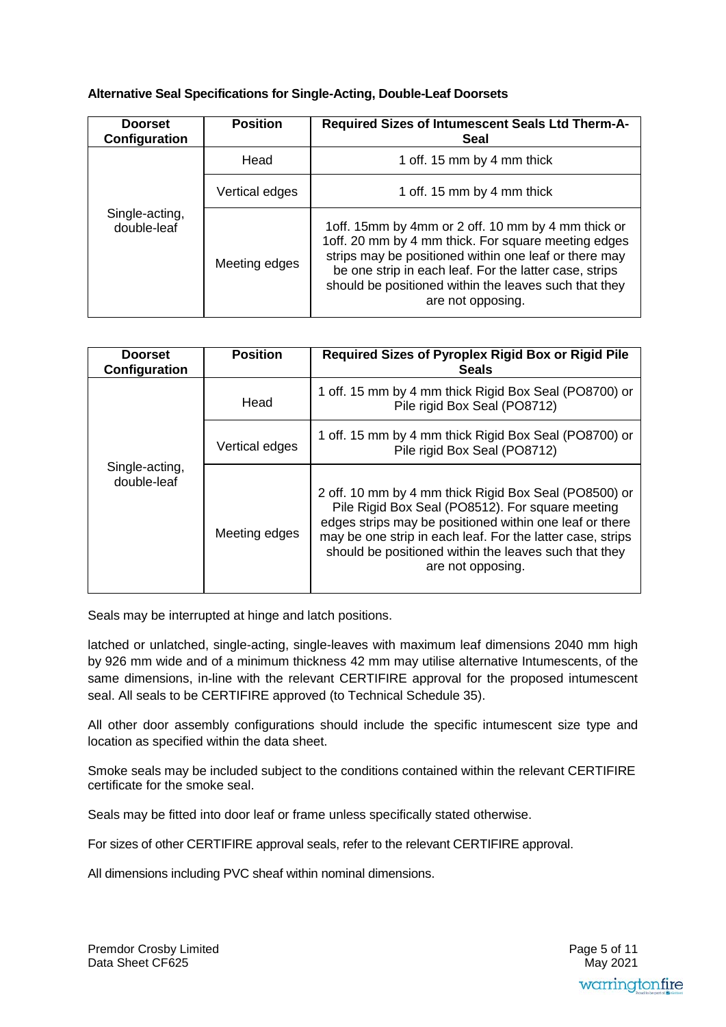#### **Alternative Seal Specifications for Single-Acting, Double-Leaf Doorsets**

| <b>Doorset</b><br>Configuration | <b>Position</b> | Required Sizes of Intumescent Seals Ltd Therm-A-<br>Seal                                                                                                                                                                                                                                                      |
|---------------------------------|-----------------|---------------------------------------------------------------------------------------------------------------------------------------------------------------------------------------------------------------------------------------------------------------------------------------------------------------|
|                                 | Head            | 1 off. 15 mm by 4 mm thick                                                                                                                                                                                                                                                                                    |
|                                 | Vertical edges  | 1 off. 15 mm by 4 mm thick                                                                                                                                                                                                                                                                                    |
| Single-acting,<br>double-leaf   | Meeting edges   | 1 off. 15 mm by 4 mm or 2 off. 10 mm by 4 mm thick or<br>1off. 20 mm by 4 mm thick. For square meeting edges<br>strips may be positioned within one leaf or there may<br>be one strip in each leaf. For the latter case, strips<br>should be positioned within the leaves such that they<br>are not opposing. |

| <b>Doorset</b><br>Configuration | <b>Position</b> | Required Sizes of Pyroplex Rigid Box or Rigid Pile<br><b>Seals</b>                                                                                                                                                                                                                                               |
|---------------------------------|-----------------|------------------------------------------------------------------------------------------------------------------------------------------------------------------------------------------------------------------------------------------------------------------------------------------------------------------|
|                                 | Head            | 1 off. 15 mm by 4 mm thick Rigid Box Seal (PO8700) or<br>Pile rigid Box Seal (PO8712)                                                                                                                                                                                                                            |
|                                 | Vertical edges  | 1 off. 15 mm by 4 mm thick Rigid Box Seal (PO8700) or<br>Pile rigid Box Seal (PO8712)                                                                                                                                                                                                                            |
| Single-acting,<br>double-leaf   | Meeting edges   | 2 off. 10 mm by 4 mm thick Rigid Box Seal (PO8500) or<br>Pile Rigid Box Seal (PO8512). For square meeting<br>edges strips may be positioned within one leaf or there<br>may be one strip in each leaf. For the latter case, strips<br>should be positioned within the leaves such that they<br>are not opposing. |

Seals may be interrupted at hinge and latch positions.

latched or unlatched, single-acting, single-leaves with maximum leaf dimensions 2040 mm high by 926 mm wide and of a minimum thickness 42 mm may utilise alternative Intumescents, of the same dimensions, in-line with the relevant CERTIFIRE approval for the proposed intumescent seal. All seals to be CERTIFIRE approved (to Technical Schedule 35).

All other door assembly configurations should include the specific intumescent size type and location as specified within the data sheet.

Smoke seals may be included subject to the conditions contained within the relevant CERTIFIRE certificate for the smoke seal.

Seals may be fitted into door leaf or frame unless specifically stated otherwise.

For sizes of other CERTIFIRE approval seals, refer to the relevant CERTIFIRE approval.

All dimensions including PVC sheaf within nominal dimensions.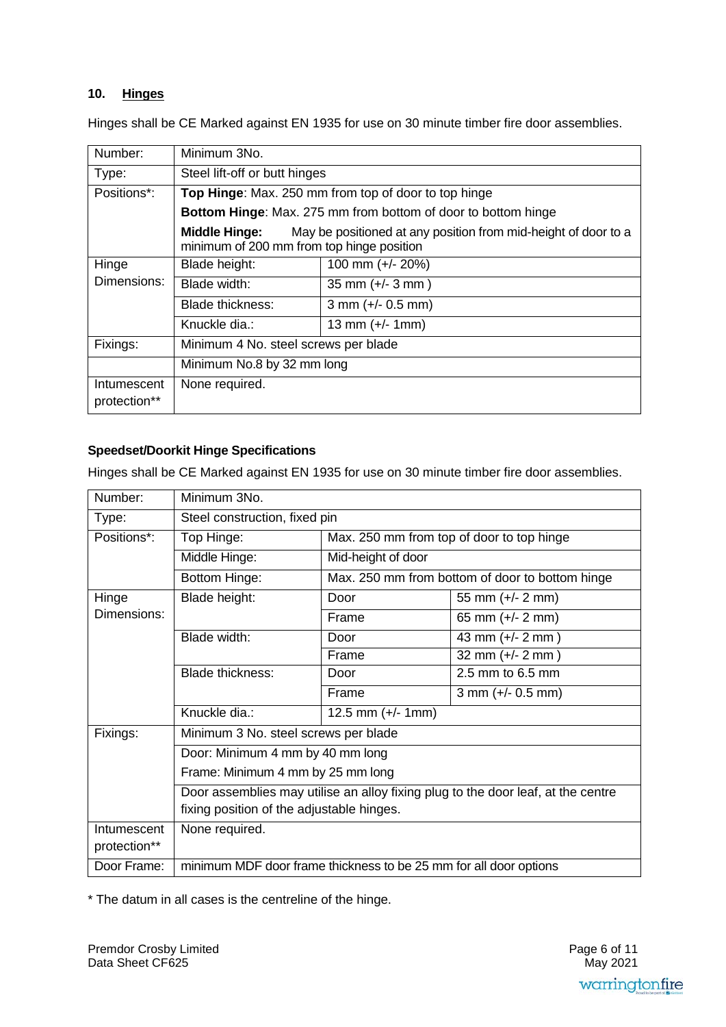#### $10.$ **Hinges**

Hinges shall be CE Marked against EN 1935 for use on 30 minute timber fire door assemblies.

| Number:                     | Minimum 3No.                                                                                                                        |                                                                      |  |
|-----------------------------|-------------------------------------------------------------------------------------------------------------------------------------|----------------------------------------------------------------------|--|
| Type:                       |                                                                                                                                     | Steel lift-off or butt hinges                                        |  |
| Positions*:                 |                                                                                                                                     | Top Hinge: Max. 250 mm from top of door to top hinge                 |  |
|                             |                                                                                                                                     | <b>Bottom Hinge:</b> Max. 275 mm from bottom of door to bottom hinge |  |
|                             | <b>Middle Hinge:</b><br>May be positioned at any position from mid-height of door to a<br>minimum of 200 mm from top hinge position |                                                                      |  |
| Hinge                       | Blade height:                                                                                                                       | 100 mm (+/- 20%)                                                     |  |
| Dimensions:                 | Blade width:                                                                                                                        | $35$ mm $(+/- 3$ mm $)$                                              |  |
|                             | <b>Blade thickness:</b>                                                                                                             | $3$ mm (+/- 0.5 mm)                                                  |  |
|                             | Knuckle dia.:                                                                                                                       | 13 mm $(+/- 1$ mm)                                                   |  |
| Fixings:                    | Minimum 4 No. steel screws per blade                                                                                                |                                                                      |  |
|                             | Minimum No.8 by 32 mm long                                                                                                          |                                                                      |  |
| Intumescent<br>protection** | None required.                                                                                                                      |                                                                      |  |

## **Speedset/Doorkit Hinge Specifications**

Hinges shall be CE Marked against EN 1935 for use on 30 minute timber fire door assemblies.

| Number:      | Minimum 3No.                                                                     |                                           |                                                 |
|--------------|----------------------------------------------------------------------------------|-------------------------------------------|-------------------------------------------------|
| Type:        | Steel construction, fixed pin                                                    |                                           |                                                 |
| Positions*:  | Top Hinge:                                                                       | Max. 250 mm from top of door to top hinge |                                                 |
|              | Middle Hinge:                                                                    | Mid-height of door                        |                                                 |
|              | Bottom Hinge:                                                                    |                                           | Max. 250 mm from bottom of door to bottom hinge |
| Hinge        | Blade height:                                                                    | Door                                      | 55 mm $(+/- 2$ mm)                              |
| Dimensions:  |                                                                                  | Frame                                     | 65 mm $(+/- 2$ mm)                              |
|              | Blade width:                                                                     | Door                                      | 43 mm (+/- 2 mm)                                |
|              |                                                                                  | Frame                                     | 32 mm $(+/- 2$ mm $)$                           |
|              | <b>Blade thickness:</b>                                                          | Door                                      | 2.5 mm to 6.5 mm                                |
|              |                                                                                  | Frame                                     | $3$ mm (+/- 0.5 mm)                             |
|              | Knuckle dia.:                                                                    | 12.5 mm $(+/- 1$ mm)                      |                                                 |
| Fixings:     | Minimum 3 No. steel screws per blade                                             |                                           |                                                 |
|              | Door: Minimum 4 mm by 40 mm long                                                 |                                           |                                                 |
|              | Frame: Minimum 4 mm by 25 mm long                                                |                                           |                                                 |
|              | Door assemblies may utilise an alloy fixing plug to the door leaf, at the centre |                                           |                                                 |
|              | fixing position of the adjustable hinges.                                        |                                           |                                                 |
| Intumescent  | None required.                                                                   |                                           |                                                 |
| protection** |                                                                                  |                                           |                                                 |
| Door Frame:  | minimum MDF door frame thickness to be 25 mm for all door options                |                                           |                                                 |

\* The datum in all cases is the centreline of the hinge.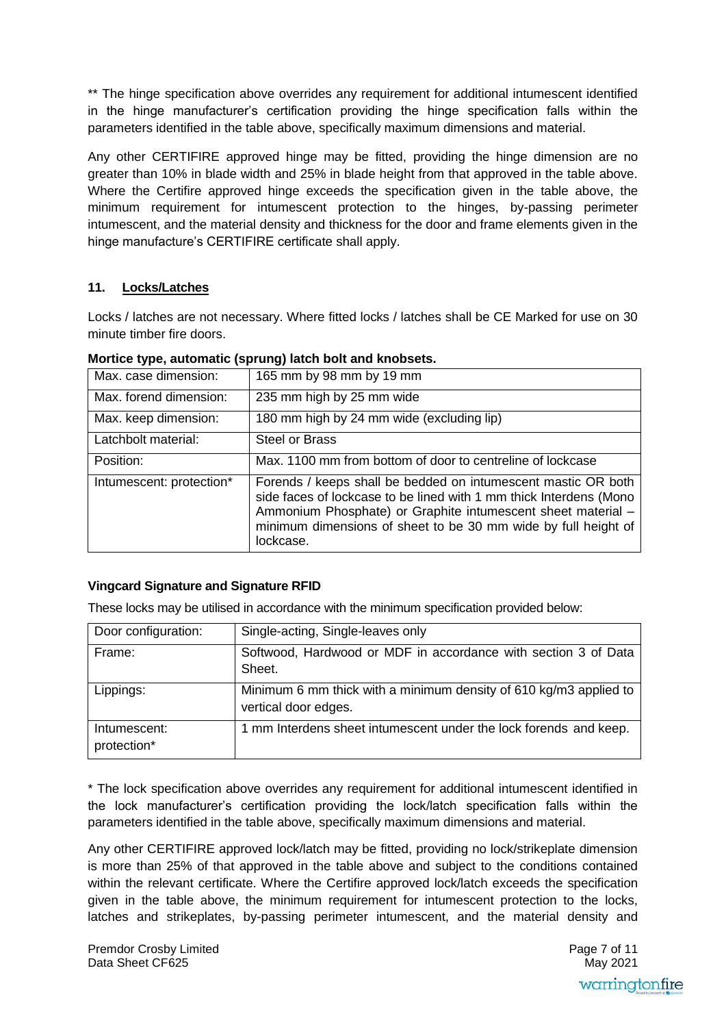\*\* The hinge specification above overrides any requirement for additional intumescent identified in the hinge manufacturer's certification providing the hinge specification falls within the parameters identified in the table above, specifically maximum dimensions and material.

Any other CERTIFIRE approved hinge may be fitted, providing the hinge dimension are no greater than 10% in blade width and 25% in blade height from that approved in the table above. Where the Certifire approved hinge exceeds the specification given in the table above, the minimum requirement for intumescent protection to the hinges, by-passing perimeter intumescent, and the material density and thickness for the door and frame elements given in the hinge manufacture's CERTIFIRE certificate shall apply.

# **11. Locks/Latches**

Locks / latches are not necessary. Where fitted locks / latches shall be CE Marked for use on 30 minute timber fire doors.

| Max. case dimension:     | 165 mm by 98 mm by 19 mm                                                                                                                                                                                                                                                           |
|--------------------------|------------------------------------------------------------------------------------------------------------------------------------------------------------------------------------------------------------------------------------------------------------------------------------|
| Max. forend dimension:   | 235 mm high by 25 mm wide                                                                                                                                                                                                                                                          |
| Max. keep dimension:     | 180 mm high by 24 mm wide (excluding lip)                                                                                                                                                                                                                                          |
| Latchbolt material:      | <b>Steel or Brass</b>                                                                                                                                                                                                                                                              |
| Position:                | Max. 1100 mm from bottom of door to centreline of lockcase                                                                                                                                                                                                                         |
| Intumescent: protection* | Forends / keeps shall be bedded on intumescent mastic OR both<br>side faces of lockcase to be lined with 1 mm thick Interdens (Mono<br>Ammonium Phosphate) or Graphite intumescent sheet material -<br>minimum dimensions of sheet to be 30 mm wide by full height of<br>lockcase. |

#### **Mortice type, automatic (sprung) latch bolt and knobsets.**

# **Vingcard Signature and Signature RFID**

These locks may be utilised in accordance with the minimum specification provided below:

| Door configuration:         | Single-acting, Single-leaves only                                                         |
|-----------------------------|-------------------------------------------------------------------------------------------|
| Frame:                      | Softwood, Hardwood or MDF in accordance with section 3 of Data<br>Sheet.                  |
| Lippings:                   | Minimum 6 mm thick with a minimum density of 610 kg/m3 applied to<br>vertical door edges. |
| Intumescent:<br>protection* | 1 mm Interdens sheet intumescent under the lock forends and keep.                         |

\* The lock specification above overrides any requirement for additional intumescent identified in the lock manufacturer's certification providing the lock/latch specification falls within the parameters identified in the table above, specifically maximum dimensions and material.

Any other CERTIFIRE approved lock/latch may be fitted, providing no lock/strikeplate dimension is more than 25% of that approved in the table above and subject to the conditions contained within the relevant certificate. Where the Certifire approved lock/latch exceeds the specification given in the table above, the minimum requirement for intumescent protection to the locks, latches and strikeplates, by-passing perimeter intumescent, and the material density and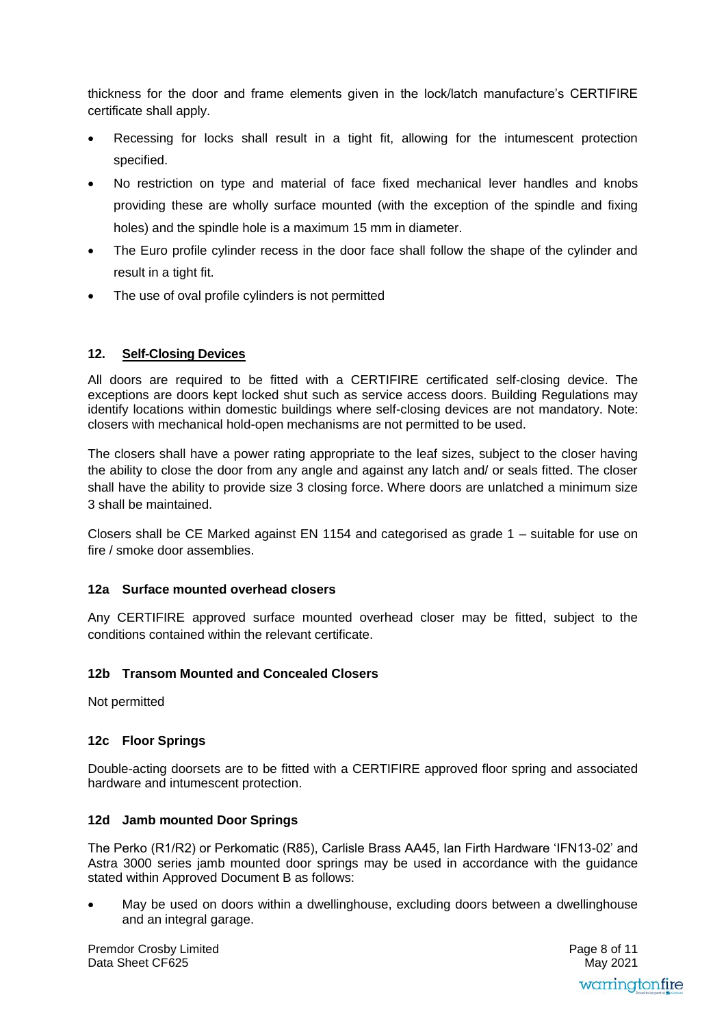thickness for the door and frame elements given in the lock/latch manufacture's CERTIFIRE certificate shall apply.

- Recessing for locks shall result in a tight fit, allowing for the intumescent protection specified.
- No restriction on type and material of face fixed mechanical lever handles and knobs providing these are wholly surface mounted (with the exception of the spindle and fixing holes) and the spindle hole is a maximum 15 mm in diameter.
- The Euro profile cylinder recess in the door face shall follow the shape of the cylinder and result in a tight fit.
- The use of oval profile cylinders is not permitted

## **12. Self-Closing Devices**

All doors are required to be fitted with a CERTIFIRE certificated self-closing device. The exceptions are doors kept locked shut such as service access doors. Building Regulations may identify locations within domestic buildings where self-closing devices are not mandatory. Note: closers with mechanical hold-open mechanisms are not permitted to be used.

The closers shall have a power rating appropriate to the leaf sizes, subject to the closer having the ability to close the door from any angle and against any latch and/ or seals fitted. The closer shall have the ability to provide size 3 closing force. Where doors are unlatched a minimum size 3 shall be maintained.

Closers shall be CE Marked against EN 1154 and categorised as grade 1 – suitable for use on fire / smoke door assemblies.

#### **12a Surface mounted overhead closers**

Any CERTIFIRE approved surface mounted overhead closer may be fitted, subject to the conditions contained within the relevant certificate.

#### **12b Transom Mounted and Concealed Closers**

Not permitted

#### **12c Floor Springs**

Double-acting doorsets are to be fitted with a CERTIFIRE approved floor spring and associated hardware and intumescent protection.

#### **12d Jamb mounted Door Springs**

The Perko (R1/R2) or Perkomatic (R85), Carlisle Brass AA45, Ian Firth Hardware 'IFN13-02' and Astra 3000 series jamb mounted door springs may be used in accordance with the guidance stated within Approved Document B as follows:

 May be used on doors within a dwellinghouse, excluding doors between a dwellinghouse and an integral garage.

Premdor Crosby Limited Data Sheet CF625

Page 8 of 11 May 2021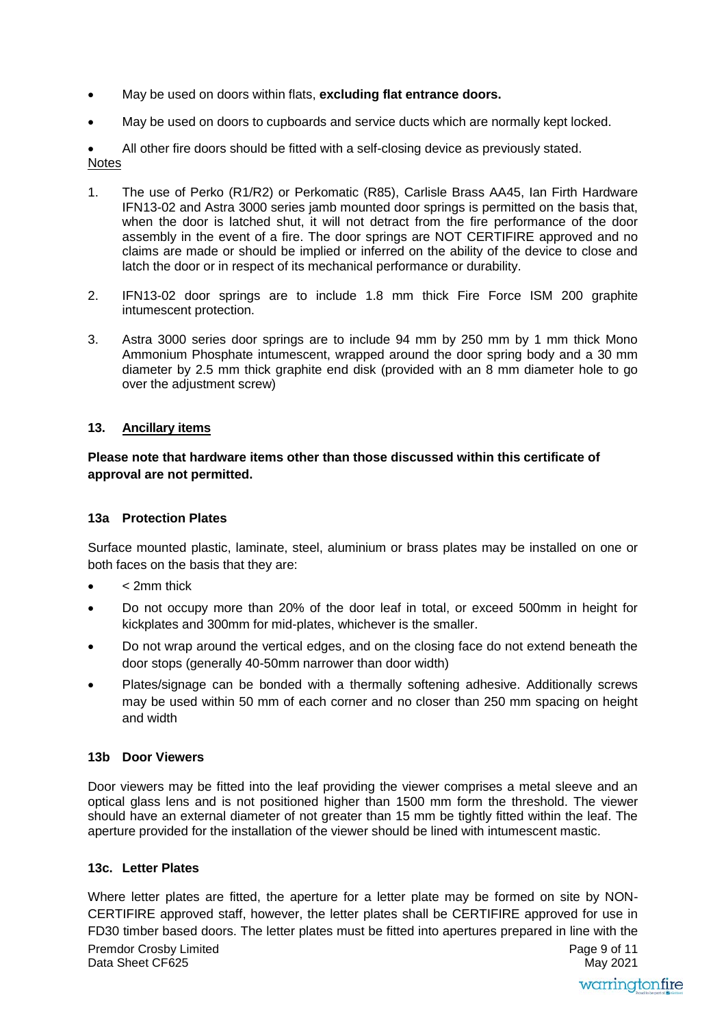- May be used on doors within flats, **excluding flat entrance doors.**
- May be used on doors to cupboards and service ducts which are normally kept locked.

 All other fire doors should be fitted with a self-closing device as previously stated. **Notes** 

- 1. The use of Perko (R1/R2) or Perkomatic (R85), Carlisle Brass AA45, Ian Firth Hardware IFN13-02 and Astra 3000 series jamb mounted door springs is permitted on the basis that, when the door is latched shut, it will not detract from the fire performance of the door assembly in the event of a fire. The door springs are NOT CERTIFIRE approved and no claims are made or should be implied or inferred on the ability of the device to close and latch the door or in respect of its mechanical performance or durability.
- 2. IFN13-02 door springs are to include 1.8 mm thick Fire Force ISM 200 graphite intumescent protection.
- 3. Astra 3000 series door springs are to include 94 mm by 250 mm by 1 mm thick Mono Ammonium Phosphate intumescent, wrapped around the door spring body and a 30 mm diameter by 2.5 mm thick graphite end disk (provided with an 8 mm diameter hole to go over the adjustment screw)

#### **13. Ancillary items**

#### **Please note that hardware items other than those discussed within this certificate of approval are not permitted.**

#### **13a Protection Plates**

Surface mounted plastic, laminate, steel, aluminium or brass plates may be installed on one or both faces on the basis that they are:

- < 2mm thick
- Do not occupy more than 20% of the door leaf in total, or exceed 500mm in height for kickplates and 300mm for mid-plates, whichever is the smaller.
- Do not wrap around the vertical edges, and on the closing face do not extend beneath the door stops (generally 40-50mm narrower than door width)
- Plates/signage can be bonded with a thermally softening adhesive. Additionally screws may be used within 50 mm of each corner and no closer than 250 mm spacing on height and width

#### **13b Door Viewers**

Door viewers may be fitted into the leaf providing the viewer comprises a metal sleeve and an optical glass lens and is not positioned higher than 1500 mm form the threshold. The viewer should have an external diameter of not greater than 15 mm be tightly fitted within the leaf. The aperture provided for the installation of the viewer should be lined with intumescent mastic.

#### **13c. Letter Plates**

Premdor Crosby Limited Data Sheet CF625 Page 9 of 11 May 2021 Where letter plates are fitted, the aperture for a letter plate may be formed on site by NON-CERTIFIRE approved staff, however, the letter plates shall be CERTIFIRE approved for use in FD30 timber based doors. The letter plates must be fitted into apertures prepared in line with the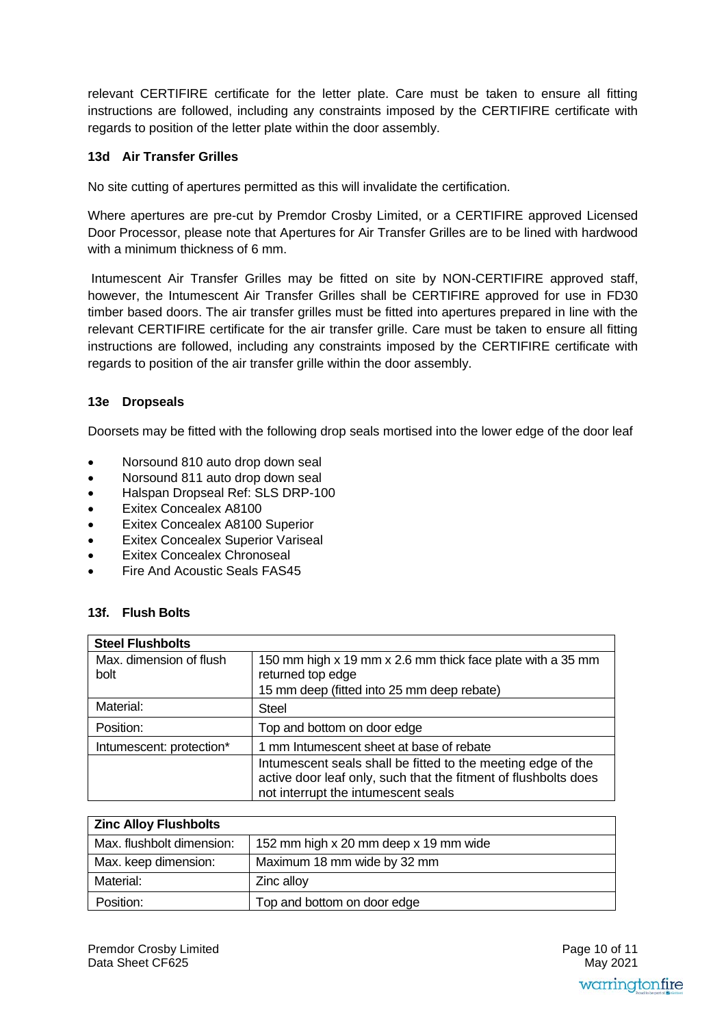relevant CERTIFIRE certificate for the letter plate. Care must be taken to ensure all fitting instructions are followed, including any constraints imposed by the CERTIFIRE certificate with regards to position of the letter plate within the door assembly.

## **13d Air Transfer Grilles**

No site cutting of apertures permitted as this will invalidate the certification.

Where apertures are pre-cut by Premdor Crosby Limited, or a CERTIFIRE approved Licensed Door Processor, please note that Apertures for Air Transfer Grilles are to be lined with hardwood with a minimum thickness of 6 mm.

 Intumescent Air Transfer Grilles may be fitted on site by NON-CERTIFIRE approved staff, however, the Intumescent Air Transfer Grilles shall be CERTIFIRE approved for use in FD30 timber based doors. The air transfer grilles must be fitted into apertures prepared in line with the relevant CERTIFIRE certificate for the air transfer grille. Care must be taken to ensure all fitting instructions are followed, including any constraints imposed by the CERTIFIRE certificate with regards to position of the air transfer grille within the door assembly.

#### **13e Dropseals**

Doorsets may be fitted with the following drop seals mortised into the lower edge of the door leaf

- Norsound 810 auto drop down seal
- Norsound 811 auto drop down seal
- Halspan Dropseal Ref: SLS DRP-100
- Exitex Concealex A8100
- Exitex Concealex A8100 Superior
- Exitex Concealex Superior Variseal
- Exitex Concealex Chronoseal
- Fire And Acoustic Seals FAS45

#### **13f. Flush Bolts**

| <b>Steel Flushbolts</b>         |                                                                                                                                                                        |
|---------------------------------|------------------------------------------------------------------------------------------------------------------------------------------------------------------------|
| Max. dimension of flush<br>bolt | 150 mm high x 19 mm x 2.6 mm thick face plate with a 35 mm<br>returned top edge<br>15 mm deep (fitted into 25 mm deep rebate)                                          |
| Material:                       | <b>Steel</b>                                                                                                                                                           |
| Position:                       | Top and bottom on door edge                                                                                                                                            |
| Intumescent: protection*        | 1 mm Intumescent sheet at base of rebate                                                                                                                               |
|                                 | Intumescent seals shall be fitted to the meeting edge of the<br>active door leaf only, such that the fitment of flushbolts does<br>not interrupt the intumescent seals |

| <b>Zinc Alloy Flushbolts</b> |                                       |
|------------------------------|---------------------------------------|
| Max. flushbolt dimension:    | 152 mm high x 20 mm deep x 19 mm wide |
| Max. keep dimension:         | Maximum 18 mm wide by 32 mm           |
| Material:                    | Zinc alloy                            |
| Position:                    | Top and bottom on door edge           |